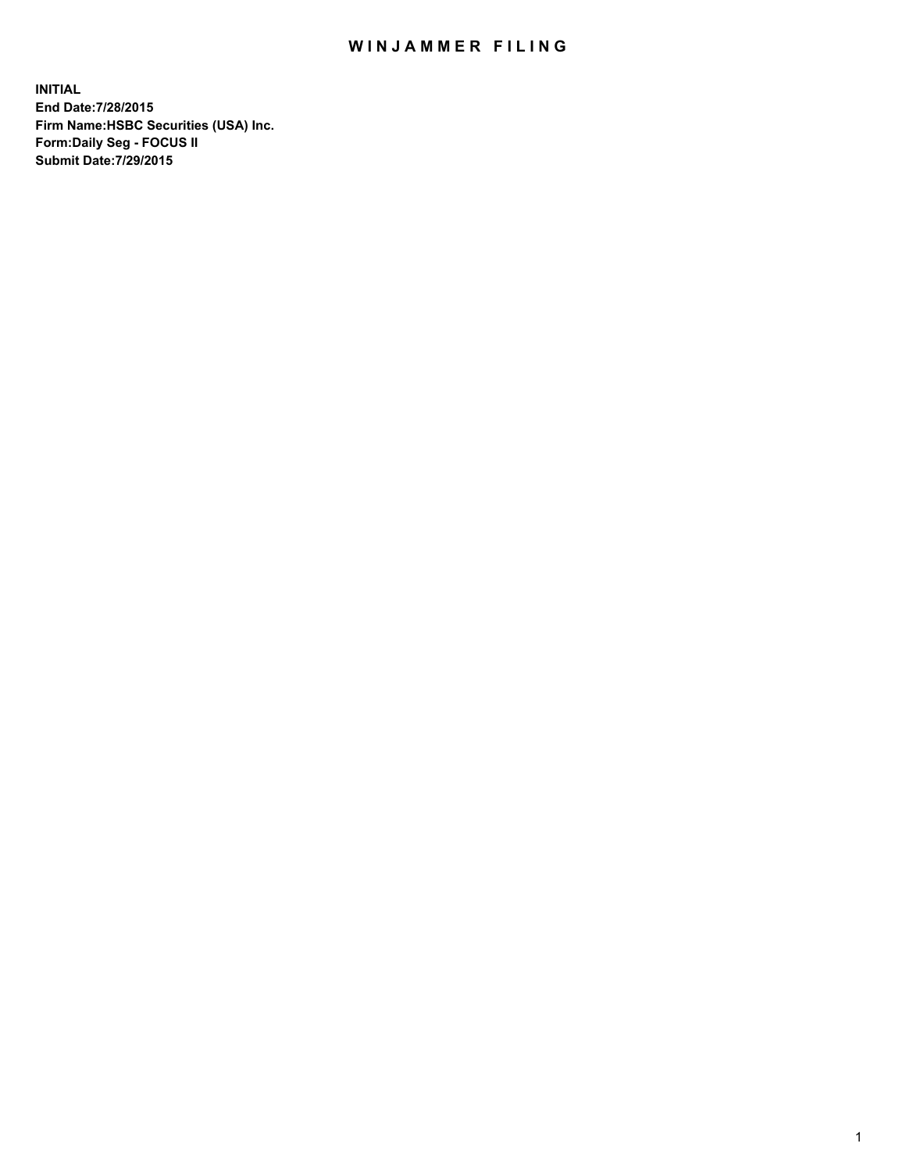## WIN JAMMER FILING

**INITIAL End Date:7/28/2015 Firm Name:HSBC Securities (USA) Inc. Form:Daily Seg - FOCUS II Submit Date:7/29/2015**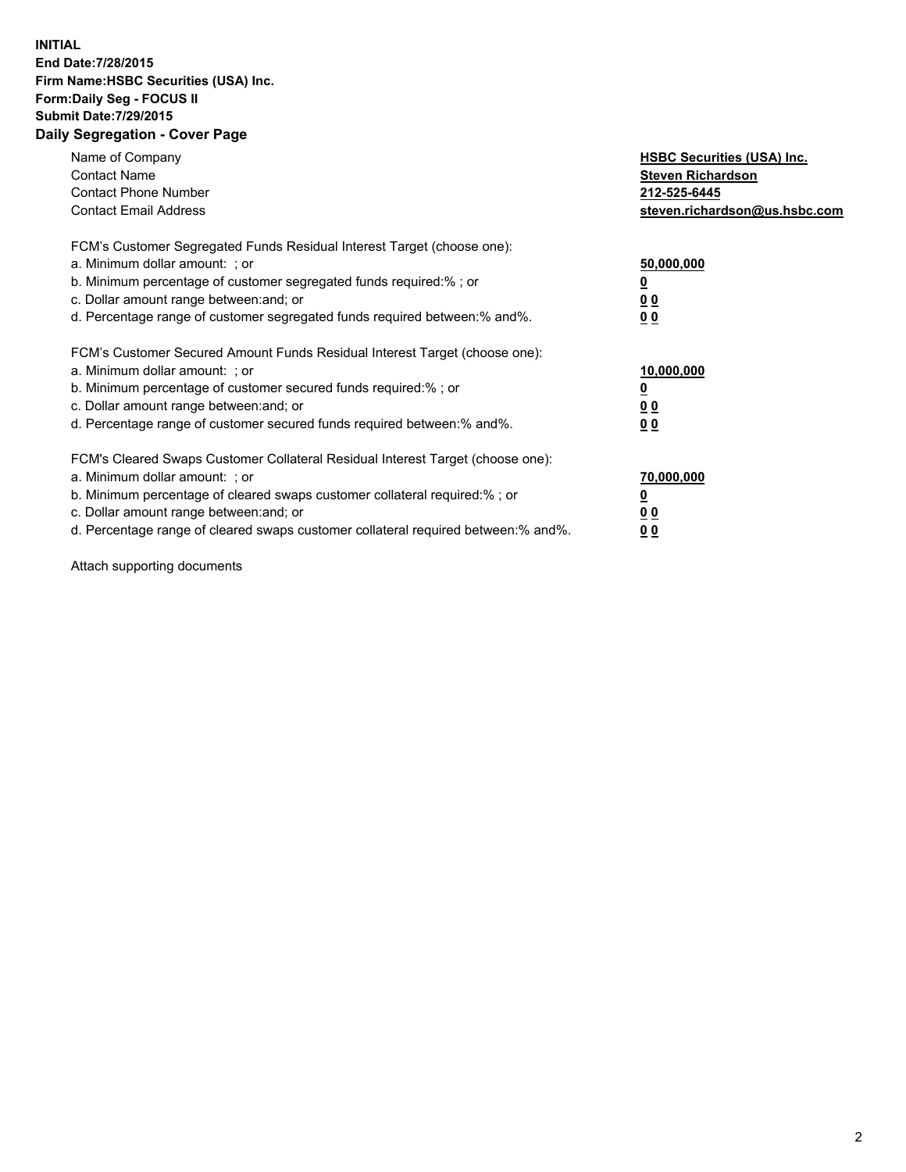## **INITIAL End Date:7/28/2015 Firm Name:HSBC Securities (USA) Inc. Form:Daily Seg - FOCUS II Submit Date:7/29/2015 Daily Segregation - Cover Page**

| Name of Company<br><b>Contact Name</b><br><b>Contact Phone Number</b><br><b>Contact Email Address</b>                                                                                                                                                                                                                         | <b>HSBC Securities (USA) Inc.</b><br><b>Steven Richardson</b><br>212-525-6445<br>steven.richardson@us.hsbc.com |
|-------------------------------------------------------------------------------------------------------------------------------------------------------------------------------------------------------------------------------------------------------------------------------------------------------------------------------|----------------------------------------------------------------------------------------------------------------|
| FCM's Customer Segregated Funds Residual Interest Target (choose one):<br>a. Minimum dollar amount: ; or<br>b. Minimum percentage of customer segregated funds required:%; or<br>c. Dollar amount range between: and; or<br>d. Percentage range of customer segregated funds required between:% and%.                         | 50,000,000<br>00<br>0 <sub>0</sub>                                                                             |
| FCM's Customer Secured Amount Funds Residual Interest Target (choose one):<br>a. Minimum dollar amount: ; or<br>b. Minimum percentage of customer secured funds required:%; or<br>c. Dollar amount range between: and; or<br>d. Percentage range of customer secured funds required between:% and%.                           | 10,000,000<br>0 <sub>0</sub><br>00                                                                             |
| FCM's Cleared Swaps Customer Collateral Residual Interest Target (choose one):<br>a. Minimum dollar amount: ; or<br>b. Minimum percentage of cleared swaps customer collateral required:%; or<br>c. Dollar amount range between: and; or<br>d. Percentage range of cleared swaps customer collateral required between:% and%. | 70,000,000<br><u>00</u><br><u>00</u>                                                                           |

Attach supporting documents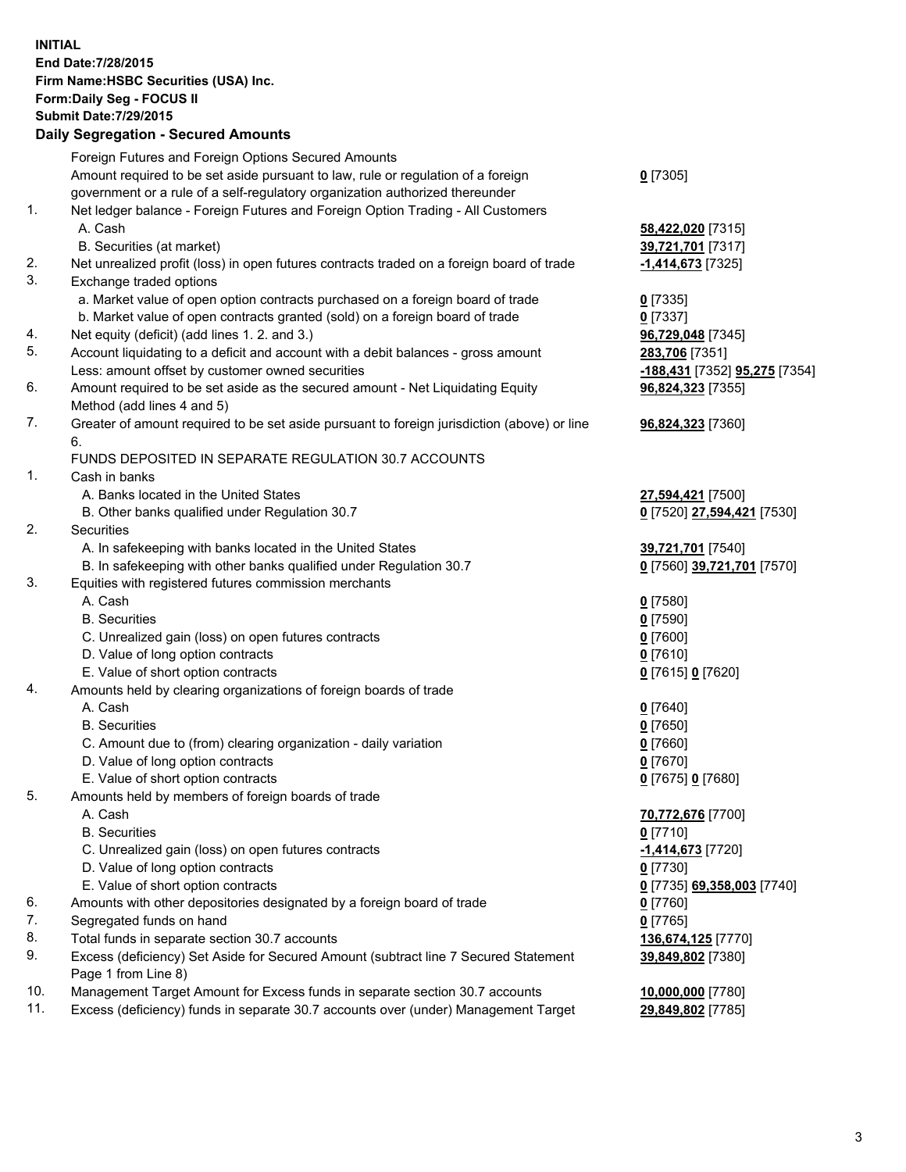**INITIAL End Date:7/28/2015 Firm Name:HSBC Securities (USA) Inc. Form:Daily Seg - FOCUS II Submit Date:7/29/2015 Daily Segregation - Secured Amounts**

|     | Dany Segregation - Secured Announts                                                         |                               |
|-----|---------------------------------------------------------------------------------------------|-------------------------------|
|     | Foreign Futures and Foreign Options Secured Amounts                                         |                               |
|     | Amount required to be set aside pursuant to law, rule or regulation of a foreign            | $0$ [7305]                    |
|     | government or a rule of a self-regulatory organization authorized thereunder                |                               |
| 1.  | Net ledger balance - Foreign Futures and Foreign Option Trading - All Customers             |                               |
|     | A. Cash                                                                                     | 58,422,020 [7315]             |
|     | B. Securities (at market)                                                                   | 39,721,701 [7317]             |
| 2.  | Net unrealized profit (loss) in open futures contracts traded on a foreign board of trade   | -1,414,673 <sup>[7325]</sup>  |
| 3.  | Exchange traded options                                                                     |                               |
|     | a. Market value of open option contracts purchased on a foreign board of trade              | $0$ [7335]                    |
|     | b. Market value of open contracts granted (sold) on a foreign board of trade                | $0$ [7337]                    |
| 4.  | Net equity (deficit) (add lines 1.2. and 3.)                                                | 96,729,048 [7345]             |
| 5.  | Account liquidating to a deficit and account with a debit balances - gross amount           | 283,706 [7351]                |
|     | Less: amount offset by customer owned securities                                            | -188,431 [7352] 95,275 [7354] |
| 6.  | Amount required to be set aside as the secured amount - Net Liquidating Equity              | 96,824,323 [7355]             |
|     | Method (add lines 4 and 5)                                                                  |                               |
| 7.  | Greater of amount required to be set aside pursuant to foreign jurisdiction (above) or line | 96,824,323 [7360]             |
|     | 6.                                                                                          |                               |
|     | FUNDS DEPOSITED IN SEPARATE REGULATION 30.7 ACCOUNTS                                        |                               |
| 1.  | Cash in banks                                                                               |                               |
|     | A. Banks located in the United States                                                       | 27,594,421 [7500]             |
|     | B. Other banks qualified under Regulation 30.7                                              | 0 [7520] 27,594,421 [7530]    |
| 2.  | Securities                                                                                  |                               |
|     | A. In safekeeping with banks located in the United States                                   | 39,721,701 [7540]             |
|     | B. In safekeeping with other banks qualified under Regulation 30.7                          | 0 [7560] 39,721,701 [7570]    |
| 3.  | Equities with registered futures commission merchants                                       |                               |
|     | A. Cash                                                                                     | $0$ [7580]                    |
|     | <b>B.</b> Securities                                                                        | $0$ [7590]                    |
|     | C. Unrealized gain (loss) on open futures contracts                                         | $0$ [7600]                    |
|     | D. Value of long option contracts                                                           | $0$ [7610]                    |
|     | E. Value of short option contracts                                                          | 0 [7615] 0 [7620]             |
| 4.  | Amounts held by clearing organizations of foreign boards of trade                           |                               |
|     | A. Cash                                                                                     | $0$ [7640]                    |
|     | <b>B.</b> Securities                                                                        | $0$ [7650]                    |
|     | C. Amount due to (from) clearing organization - daily variation                             | $0$ [7660]                    |
|     | D. Value of long option contracts                                                           | $0$ [7670]                    |
|     | E. Value of short option contracts                                                          | 0 [7675] 0 [7680]             |
| 5.  | Amounts held by members of foreign boards of trade                                          |                               |
|     | A. Cash                                                                                     | 70,772,676 [7700]             |
|     | <b>B.</b> Securities                                                                        | $0$ [7710]                    |
|     | C. Unrealized gain (loss) on open futures contracts                                         | $-1,414,673$ [7720]           |
|     | D. Value of long option contracts                                                           | $0$ [7730]                    |
|     | E. Value of short option contracts                                                          | 0 [7735] 69,358,003 [7740]    |
| 6.  | Amounts with other depositories designated by a foreign board of trade                      | 0 [7760]                      |
| 7.  | Segregated funds on hand                                                                    | $0$ [7765]                    |
| 8.  | Total funds in separate section 30.7 accounts                                               | 136,674,125 [7770]            |
| 9.  | Excess (deficiency) Set Aside for Secured Amount (subtract line 7 Secured Statement         | 39,849,802 [7380]             |
|     | Page 1 from Line 8)                                                                         |                               |
| 10. | Management Target Amount for Excess funds in separate section 30.7 accounts                 | 10,000,000 [7780]             |
| 11. | Excess (deficiency) funds in separate 30.7 accounts over (under) Management Target          | 29,849,802 [7785]             |
|     |                                                                                             |                               |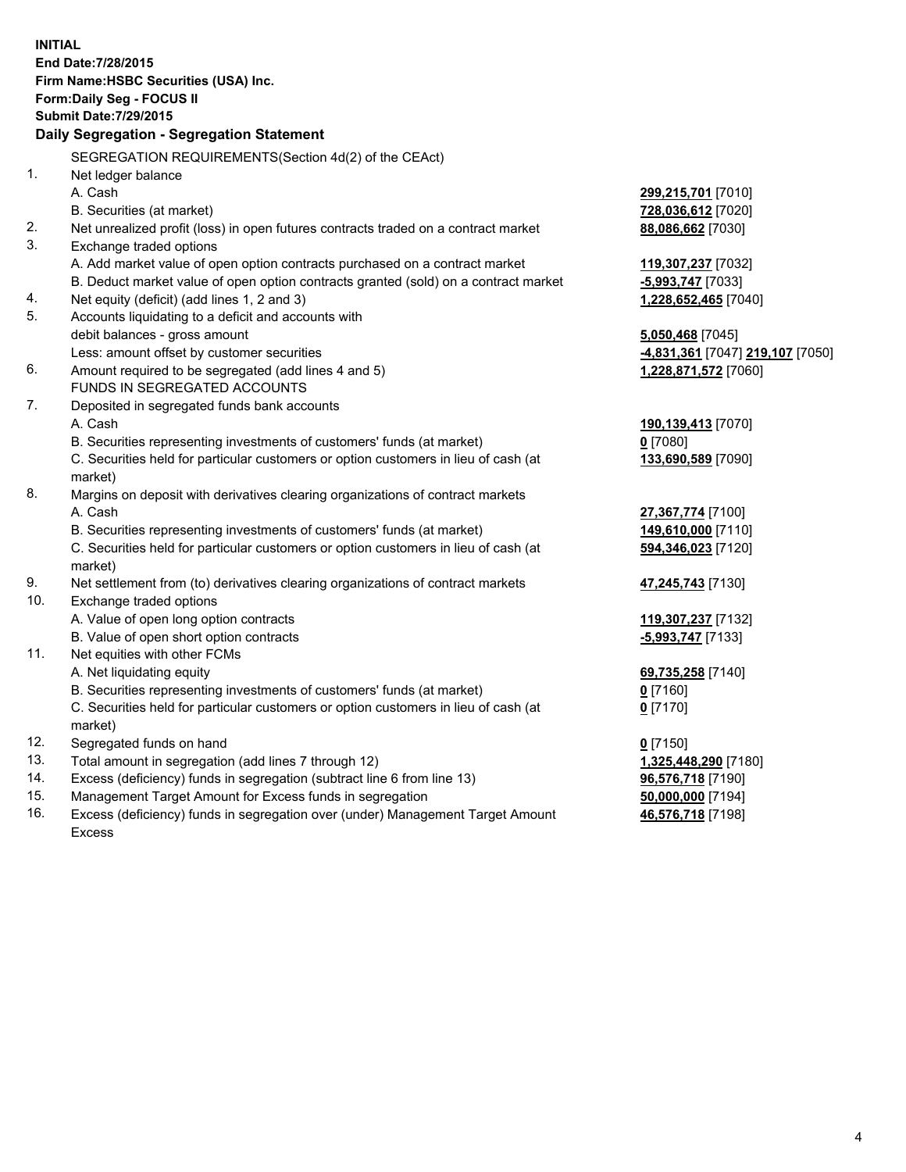| <b>INITIAL</b>                            | End Date: 7/28/2015                                                                            |                                  |  |  |  |
|-------------------------------------------|------------------------------------------------------------------------------------------------|----------------------------------|--|--|--|
|                                           | Firm Name: HSBC Securities (USA) Inc.                                                          |                                  |  |  |  |
| Form: Daily Seg - FOCUS II                |                                                                                                |                                  |  |  |  |
|                                           | <b>Submit Date: 7/29/2015</b>                                                                  |                                  |  |  |  |
| Daily Segregation - Segregation Statement |                                                                                                |                                  |  |  |  |
|                                           | SEGREGATION REQUIREMENTS(Section 4d(2) of the CEAct)                                           |                                  |  |  |  |
| 1.                                        | Net ledger balance                                                                             |                                  |  |  |  |
|                                           | A. Cash                                                                                        | 299,215,701 [7010]               |  |  |  |
|                                           | B. Securities (at market)                                                                      | 728,036,612 [7020]               |  |  |  |
| 2.                                        | Net unrealized profit (loss) in open futures contracts traded on a contract market             | 88,086,662 [7030]                |  |  |  |
| 3.                                        | Exchange traded options                                                                        |                                  |  |  |  |
|                                           | A. Add market value of open option contracts purchased on a contract market                    | 119,307,237 [7032]               |  |  |  |
|                                           | B. Deduct market value of open option contracts granted (sold) on a contract market            | -5,993,747 [7033]                |  |  |  |
| 4.                                        | Net equity (deficit) (add lines 1, 2 and 3)                                                    | 1,228,652,465 [7040]             |  |  |  |
| 5.                                        | Accounts liquidating to a deficit and accounts with                                            |                                  |  |  |  |
|                                           | debit balances - gross amount                                                                  | 5,050,468 [7045]                 |  |  |  |
|                                           | Less: amount offset by customer securities                                                     | -4,831,361 [7047] 219,107 [7050] |  |  |  |
| 6.                                        | Amount required to be segregated (add lines 4 and 5)                                           | 1,228,871,572 [7060]             |  |  |  |
|                                           | FUNDS IN SEGREGATED ACCOUNTS                                                                   |                                  |  |  |  |
| 7.                                        | Deposited in segregated funds bank accounts                                                    |                                  |  |  |  |
|                                           | A. Cash                                                                                        | 190,139,413 [7070]               |  |  |  |
|                                           | B. Securities representing investments of customers' funds (at market)                         | $0$ [7080]                       |  |  |  |
|                                           | C. Securities held for particular customers or option customers in lieu of cash (at            | 133,690,589 [7090]               |  |  |  |
|                                           | market)                                                                                        |                                  |  |  |  |
| 8.                                        | Margins on deposit with derivatives clearing organizations of contract markets                 |                                  |  |  |  |
|                                           | A. Cash                                                                                        | 27,367,774 [7100]                |  |  |  |
|                                           | B. Securities representing investments of customers' funds (at market)                         | 149,610,000 [7110]               |  |  |  |
|                                           | C. Securities held for particular customers or option customers in lieu of cash (at            | 594,346,023 [7120]               |  |  |  |
|                                           | market)                                                                                        |                                  |  |  |  |
| 9.                                        | Net settlement from (to) derivatives clearing organizations of contract markets                | 47,245,743 [7130]                |  |  |  |
| 10.                                       | Exchange traded options                                                                        |                                  |  |  |  |
|                                           | A. Value of open long option contracts                                                         | 119,307,237 [7132]               |  |  |  |
|                                           | B. Value of open short option contracts                                                        | $-5,993,747$ [7133]              |  |  |  |
| 11.                                       | Net equities with other FCMs                                                                   |                                  |  |  |  |
|                                           | A. Net liquidating equity                                                                      | 69,735,258 [7140]                |  |  |  |
|                                           | B. Securities representing investments of customers' funds (at market)                         | 0 [7160]                         |  |  |  |
|                                           | C. Securities held for particular customers or option customers in lieu of cash (at<br>market) | $0$ [7170]                       |  |  |  |
| 12.                                       | Segregated funds on hand                                                                       | $0$ [7150]                       |  |  |  |
| 13.                                       | Total amount in segregation (add lines 7 through 12)                                           | 1,325,448,290 [7180]             |  |  |  |
| 14.                                       | Excess (deficiency) funds in segregation (subtract line 6 from line 13)                        | 96,576,718 [7190]                |  |  |  |
| 15.                                       | Management Target Amount for Excess funds in segregation                                       | 50,000,000 [7194]                |  |  |  |
| 16.                                       | Excess (deficiency) funds in segregation over (under) Management Target Amount                 | 46,576,718 [7198]                |  |  |  |

16. Excess (deficiency) funds in segregation over (under) Management Target Amount Excess